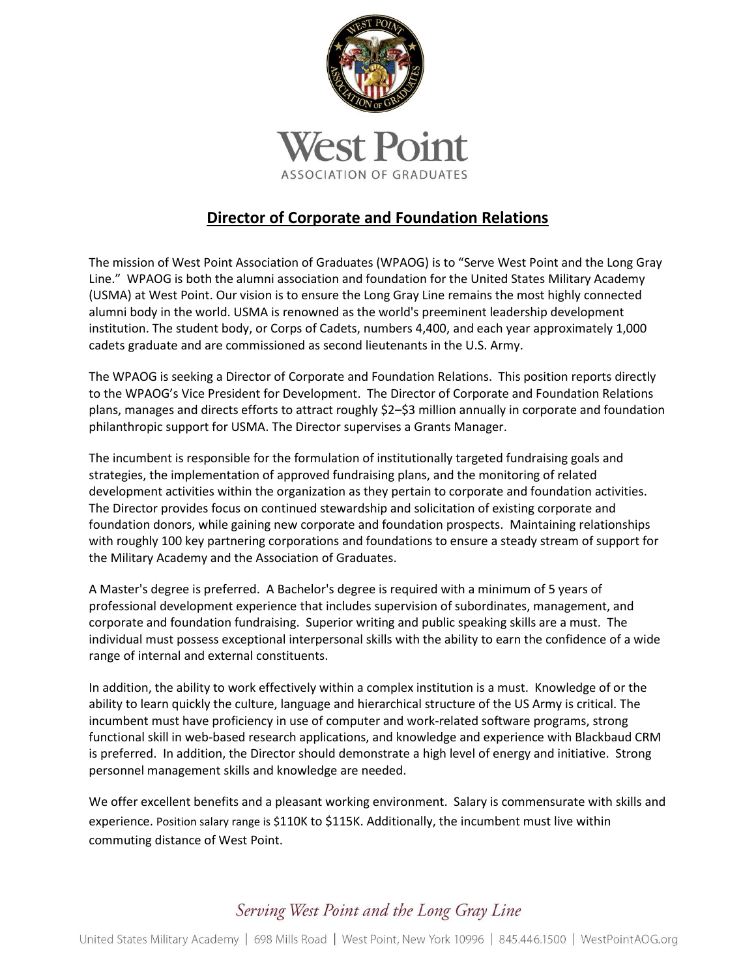

## **Director of Corporate and Foundation Relations**

The mission of West Point Association of Graduates (WPAOG) is to "Serve West Point and the Long Gray Line." WPAOG is both the alumni association and foundation for the United States Military Academy (USMA) at West Point. Our vision is to ensure the Long Gray Line remains the most highly connected alumni body in the world. USMA is renowned as the world's preeminent leadership development institution. The student body, or Corps of Cadets, numbers 4,400, and each year approximately 1,000 cadets graduate and are commissioned as second lieutenants in the U.S. Army.

The WPAOG is seeking a Director of Corporate and Foundation Relations. This position reports directly to the WPAOG's Vice President for Development. The Director of Corporate and Foundation Relations plans, manages and directs efforts to attract roughly \$2–\$3 million annually in corporate and foundation philanthropic support for USMA. The Director supervises a Grants Manager.

The incumbent is responsible for the formulation of institutionally targeted fundraising goals and strategies, the implementation of approved fundraising plans, and the monitoring of related development activities within the organization as they pertain to corporate and foundation activities. The Director provides focus on continued stewardship and solicitation of existing corporate and foundation donors, while gaining new corporate and foundation prospects. Maintaining relationships with roughly 100 key partnering corporations and foundations to ensure a steady stream of support for the Military Academy and the Association of Graduates.

A Master's degree is preferred. A Bachelor's degree is required with a minimum of 5 years of professional development experience that includes supervision of subordinates, management, and corporate and foundation fundraising. Superior writing and public speaking skills are a must. The individual must possess exceptional interpersonal skills with the ability to earn the confidence of a wide range of internal and external constituents.

In addition, the ability to work effectively within a complex institution is a must. Knowledge of or the ability to learn quickly the culture, language and hierarchical structure of the US Army is critical. The incumbent must have proficiency in use of computer and work-related software programs, strong functional skill in web-based research applications, and knowledge and experience with Blackbaud CRM is preferred. In addition, the Director should demonstrate a high level of energy and initiative. Strong personnel management skills and knowledge are needed.

We offer excellent benefits and a pleasant working environment. Salary is commensurate with skills and experience. Position salary range is \$110K to \$115K. Additionally, the incumbent must live within commuting distance of West Point.

## Serving West Point and the Long Gray Line